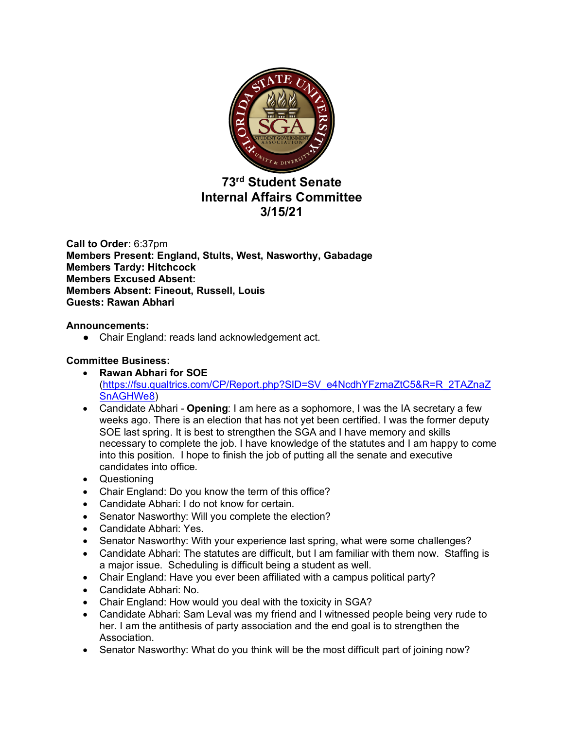

# **73rd Student Senate Internal Affairs Committee 3/15/21**

**Call to Order:** 6:37pm **Members Present: England, Stults, West, Nasworthy, Gabadage Members Tardy: Hitchcock Members Excused Absent: Members Absent: Fineout, Russell, Louis Guests: Rawan Abhari**

## **Announcements:**

● Chair England: reads land acknowledgement act.

## **Committee Business:**

- **Rawan Abhari for SOE**  (https://fsu.qualtrics.com/CP/Report.php?SID=SV\_e4NcdhYFzmaZtC5&R=R\_2TAZnaZ SnAGHWe8)
- Candidate Abhari **Opening**: I am here as a sophomore, I was the IA secretary a few weeks ago. There is an election that has not yet been certified. I was the former deputy SOE last spring. It is best to strengthen the SGA and I have memory and skills necessary to complete the job. I have knowledge of the statutes and I am happy to come into this position. I hope to finish the job of putting all the senate and executive candidates into office.
- Questioning
- Chair England: Do you know the term of this office?
- Candidate Abhari: I do not know for certain.
- Senator Nasworthy: Will you complete the election?
- Candidate Abhari: Yes.
- Senator Nasworthy: With your experience last spring, what were some challenges?
- Candidate Abhari: The statutes are difficult, but I am familiar with them now. Staffing is a major issue. Scheduling is difficult being a student as well.
- Chair England: Have you ever been affiliated with a campus political party?
- Candidate Abhari: No.
- Chair England: How would you deal with the toxicity in SGA?
- Candidate Abhari: Sam Leval was my friend and I witnessed people being very rude to her. I am the antithesis of party association and the end goal is to strengthen the Association.
- Senator Nasworthy: What do you think will be the most difficult part of joining now?